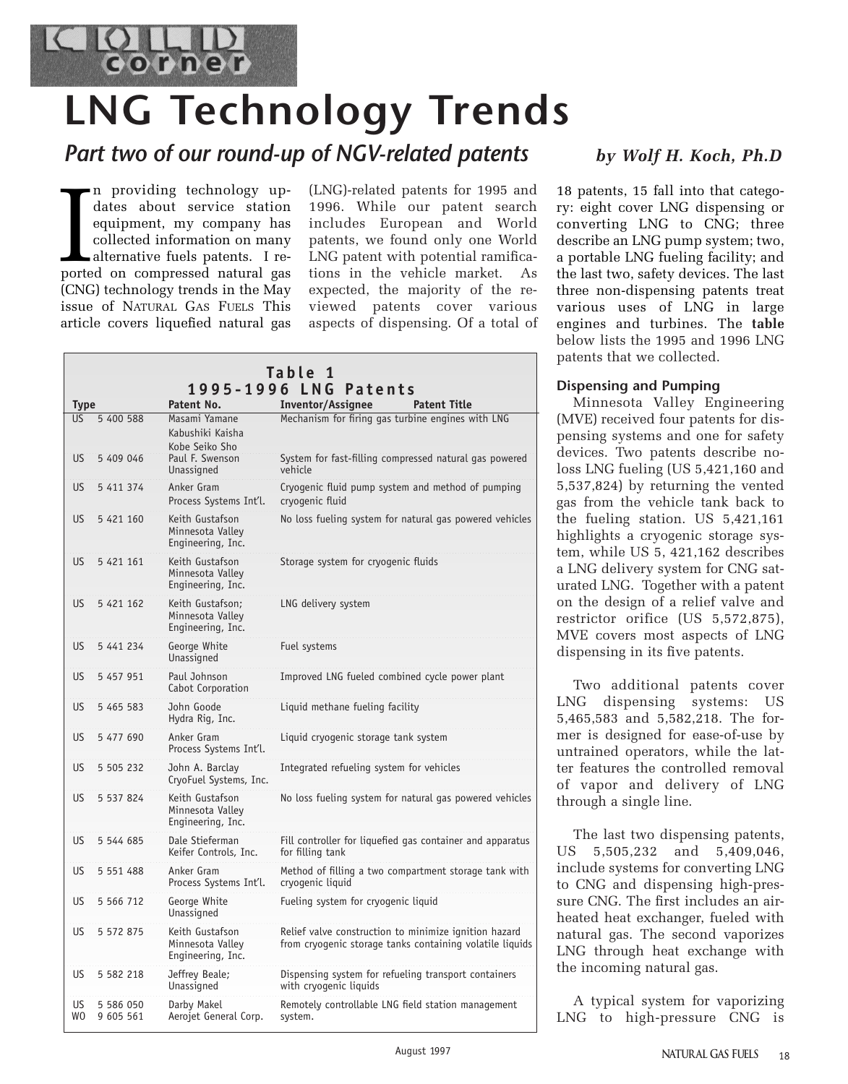

# **LNG Technology Trends**

## *Part two of our round-up of NGV-related patents by Wolf H. Koch, Ph.D*

In providing technology up-<br>dates about service station<br>equipment, my company has<br>collected information on many<br>alternative fuels patents. I re-<br>ported on compressed natural gas n providing technology updates about service station equipment, my company has collected information on many alternative fuels patents. I re-(CNG) technology trends in the May issue of NATURAL GAS FUELS This article covers liquefied natural gas (LNG)-related patents for 1995 and 1996. While our patent search includes European and World patents, we found only one World LNG patent with potential ramifications in the vehicle market. As expected, the majority of the reviewed patents cover various aspects of dispensing. Of a total of

|                           |                        |                                                           | Table 1                                                                                                           |
|---------------------------|------------------------|-----------------------------------------------------------|-------------------------------------------------------------------------------------------------------------------|
| Patent No.<br><b>Type</b> |                        |                                                           | 1995-1996 LNG<br>Patents<br><b>Inventor/Assignee</b><br><b>Patent Title</b>                                       |
| US.                       | 5 400 588              | Masami Yamane<br>Kabushiki Kaisha<br>Kobe Seiko Sho       | Mechanism for firing gas turbine engines with LNG                                                                 |
| US <sup>1</sup>           | 5 409 046              | Paul F. Swenson<br>Unassigned                             | System for fast-filling compressed natural gas powered<br>vehicle                                                 |
| <b>US</b>                 | 5 411 374              | Anker Gram<br>Process Systems Int'l.                      | Cryogenic fluid pump system and method of pumping<br>cryogenic fluid                                              |
| <b>US</b>                 | 5 421 160              | Keith Gustafson<br>Minnesota Valley<br>Engineering, Inc.  | No loss fueling system for natural gas powered vehicles                                                           |
| <b>US</b>                 | 5 421 161              | Keith Gustafson<br>Minnesota Valley<br>Engineering, Inc.  | Storage system for cryogenic fluids                                                                               |
| <b>US</b>                 | 5 421 162              | Keith Gustafson:<br>Minnesota Valley<br>Engineering, Inc. | LNG delivery system                                                                                               |
| US.                       | 5 441 234              | George White<br>Unassigned                                | Fuel systems                                                                                                      |
| <b>US</b>                 | 5 457 951              | Paul Johnson<br>Cabot Corporation                         | Improved LNG fueled combined cycle power plant                                                                    |
| US                        | 5 465 583              | John Goode<br>Hydra Rig, Inc.                             | Liquid methane fueling facility                                                                                   |
| <b>US</b>                 | 5 477 690              | Anker Gram<br>Process Systems Int'l.                      | Liquid cryoqenic storaqe tank system                                                                              |
| <b>US</b>                 | 5 505 232              | John A. Barclay<br>CryoFuel Systems, Inc.                 | Integrated refueling system for vehicles                                                                          |
| <b>US</b>                 | 5 537 824              | Keith Gustafson<br>Minnesota Valley<br>Engineering, Inc.  | No loss fueling system for natural gas powered vehicles                                                           |
| <b>US</b>                 | 5 544 685              | Dale Stieferman<br>Keifer Controls, Inc.                  | Fill controller for liquefied gas container and apparatus<br>for filling tank                                     |
| <b>US</b>                 | 5 5 5 1 4 8 8          | Anker Gram<br>Process Systems Int'l.                      | Method of filling a two compartment storage tank with<br>cryogenic liquid                                         |
| US                        | 5 566 712              | George White<br>Unassigned                                | Fueling system for cryogenic liquid                                                                               |
| US.                       | 5 572 875              | Keith Gustafson<br>Minnesota Valley<br>Engineering, Inc.  | Relief valve construction to minimize ignition hazard<br>from cryogenic storage tanks containing volatile liquids |
| US.                       | 5 582 218              | Jeffrey Beale;<br>Unassigned                              | Dispensing system for refueling transport containers<br>with cryogenic liquids                                    |
| US<br>WO                  | 5 586 050<br>9 605 561 | Darby Makel<br>Aerojet General Corp.                      | Remotely controllable LNG field station management<br>system.                                                     |

18 patents, 15 fall into that category: eight cover LNG dispensing or converting LNG to CNG; three describe an LNG pump system; two, a portable LNG fueling facility; and the last two, safety devices. The last three non-dispensing patents treat various uses of LNG in large engines and turbines. The **table** below lists the 1995 and 1996 LNG patents that we collected.

### **Dispensing and Pumping**

Minnesota Valley Engineering (MVE) received four patents for dispensing systems and one for safety devices. Two patents describe noloss LNG fueling (US 5,421,160 and 5,537,824) by returning the vented gas from the vehicle tank back to the fueling station. US 5,421,161 highlights a cryogenic storage system, while US 5, 421,162 describes a LNG delivery system for CNG saturated LNG. Together with a patent on the design of a relief valve and restrictor orifice (US 5,572,875), MVE covers most aspects of LNG dispensing in its five patents.

Two additional patents cover LNG dispensing systems: US 5,465,583 and 5,582,218. The former is designed for ease-of-use by untrained operators, while the latter features the controlled removal of vapor and delivery of LNG through a single line.

The last two dispensing patents, US 5,505,232 and 5,409,046, include systems for converting LNG to CNG and dispensing high-pressure CNG. The first includes an airheated heat exchanger, fueled with natural gas. The second vaporizes LNG through heat exchange with the incoming natural gas.

A typical system for vaporizing LNG to high-pressure CNG is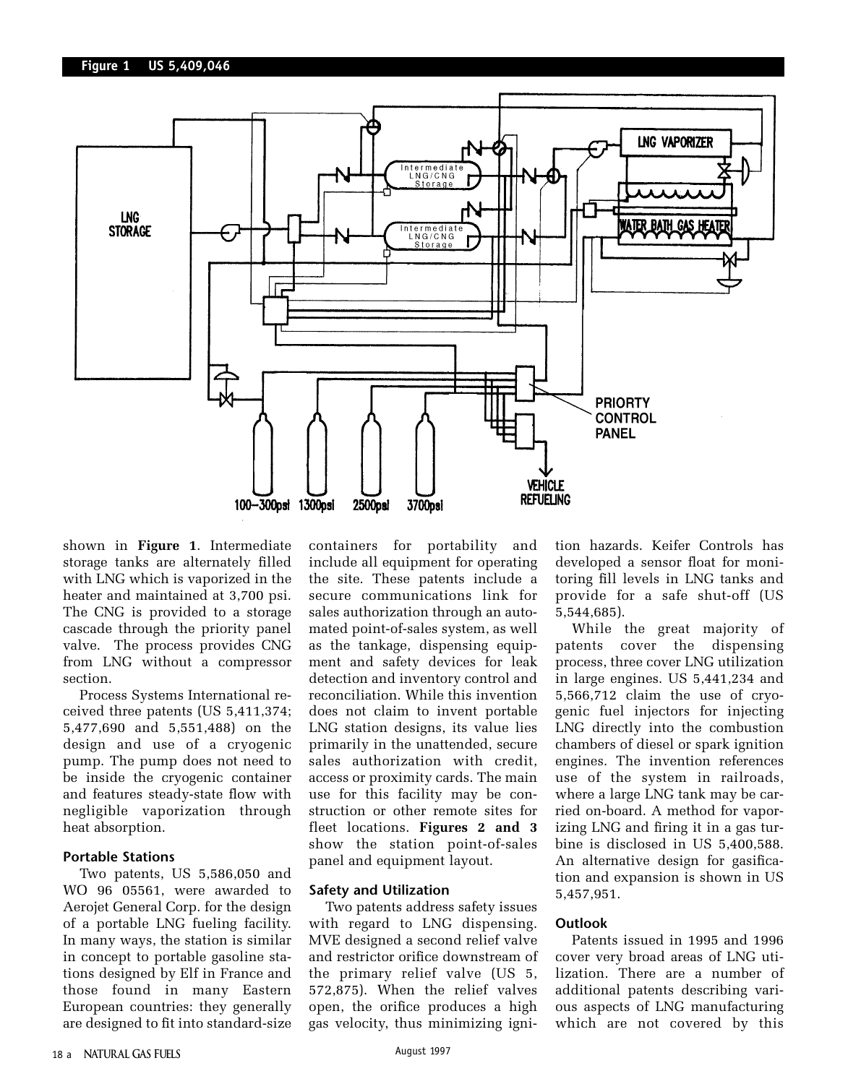

shown in **Figure 1**. Intermediate storage tanks are alternately filled with LNG which is vaporized in the heater and maintained at 3,700 psi. The CNG is provided to a storage cascade through the priority panel valve. The process provides CNG from LNG without a compressor section.

Process Systems International received three patents (US 5,411,374; 5,477,690 and 5,551,488) on the design and use of a cryogenic pump. The pump does not need to be inside the cryogenic container and features steady-state flow with negligible vaporization through heat absorption.

#### **Portable Stations**

Two patents, US 5,586,050 and WO 96 05561, were awarded to Aerojet General Corp. for the design of a portable LNG fueling facility. In many ways, the station is similar in concept to portable gasoline stations designed by Elf in France and those found in many Eastern European countries: they generally are designed to fit into standard-size containers for portability and include all equipment for operating the site. These patents include a secure communications link for sales authorization through an automated point-of-sales system, as well as the tankage, dispensing equipment and safety devices for leak detection and inventory control and reconciliation. While this invention does not claim to invent portable LNG station designs, its value lies primarily in the unattended, secure sales authorization with credit, access or proximity cards. The main use for this facility may be construction or other remote sites for fleet locations. **Figures 2 and 3** show the station point-of-sales panel and equipment layout.

#### **Safety and Utilization**

Two patents address safety issues with regard to LNG dispensing. MVE designed a second relief valve and restrictor orifice downstream of the primary relief valve (US 5, 572,875). When the relief valves open, the orifice produces a high gas velocity, thus minimizing ignition hazards. Keifer Controls has developed a sensor float for monitoring fill levels in LNG tanks and provide for a safe shut-off (US 5,544,685).

While the great majority of patents cover the dispensing process, three cover LNG utilization in large engines. US 5,441,234 and 5,566,712 claim the use of cryogenic fuel injectors for injecting LNG directly into the combustion chambers of diesel or spark ignition engines. The invention references use of the system in railroads, where a large LNG tank may be carried on-board. A method for vaporizing LNG and firing it in a gas turbine is disclosed in US 5,400,588. An alternative design for gasification and expansion is shown in US 5,457,951.

#### **Outlook**

Patents issued in 1995 and 1996 cover very broad areas of LNG utilization. There are a number of additional patents describing various aspects of LNG manufacturing which are not covered by this